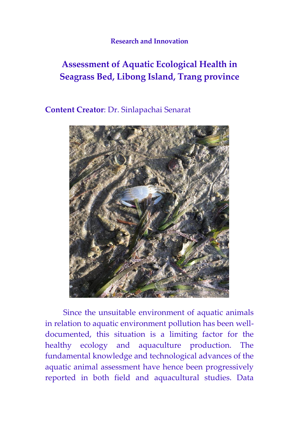## **Research and Innovation**

## **Assessment of Aquatic Ecological Health in Seagrass Bed, Libong Island, Trang province**

**Content Creator**: Dr. Sinlapachai Senarat



Since the unsuitable environment of aquatic animals in relation to aquatic environment pollution has been welldocumented, this situation is a limiting factor for the healthy ecology and aquaculture production. The fundamental knowledge and technological advances of the aquatic animal assessment have hence been progressively reported in both field and aquacultural studies. Data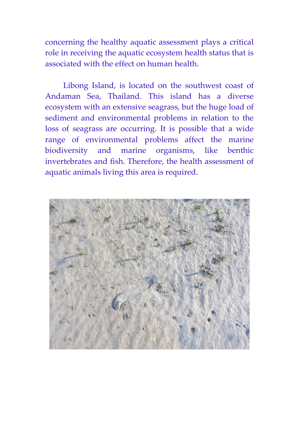concerning the healthy aquatic assessment plays a critical role in receiving the aquatic ecosystem health status that is associated with the effect on human health.

Libong Island, is located on the southwest coast of Andaman Sea, Thailand. This island has a diverse ecosystem with an extensive seagrass, but the huge load of sediment and environmental problems in relation to the loss of seagrass are occurring. It is possible that a wide range of environmental problems affect the marine biodiversity and marine organisms, like benthic invertebrates and fish. Therefore, the health assessment of aquatic animals living this area is required.